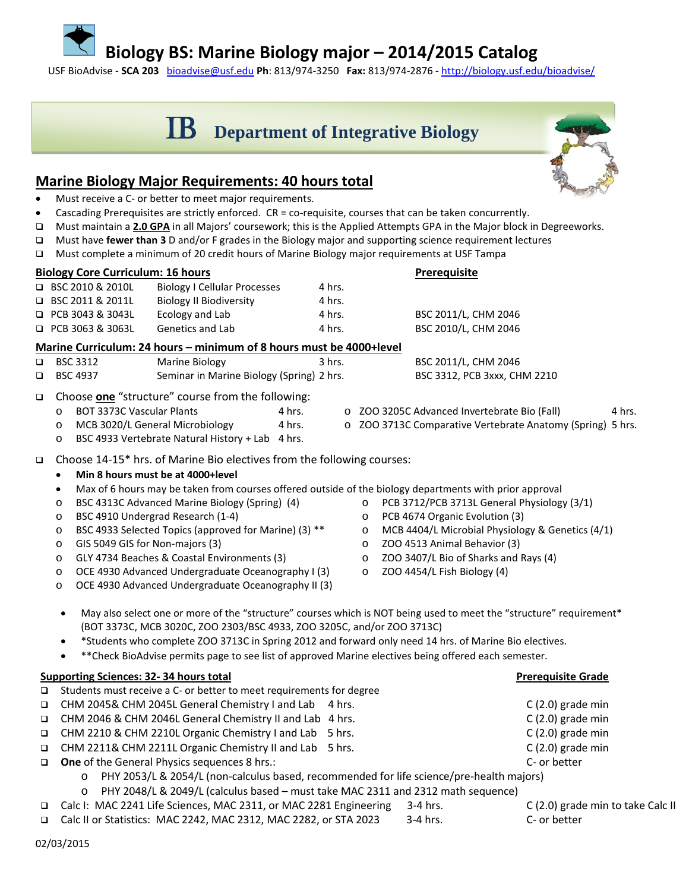### **Biology BS: Marine Biology major – 2014/2015 Catalog**

USF BioAdvise - **SCA 203** [bioadvise@usf.edu](mailto:bioadvise@usf.edu) **Ph**: 813/974-3250 **Fax:** 813/974-2876 - <http://biology.usf.edu/bioadvise/>

# **SCHUB** Department of Integrative Biology

#### **Marine Biology Major Requirements: 40 hours total**

- Must receive a C- or better to meet major requirements.
- Cascading Prerequisites are strictly enforced. CR = co-requisite, courses that can be taken concurrently.
- Must maintain a **2.0 GPA** in all Majors' coursework; this is the Applied Attempts GPA in the Major block in Degreeworks.
- Must have **fewer than 3** D and/or F grades in the Biology major and supporting science requirement lectures
- Must complete a minimum of 20 credit hours of Marine Biology major requirements at USF Tampa

| <b>Biology Core Curriculum: 16 hours</b> |                                                                     |                                  |                                                  |  |          |  |  | <b>Prerequisite</b>                                        |        |  |  |  |
|------------------------------------------|---------------------------------------------------------------------|----------------------------------|--------------------------------------------------|--|----------|--|--|------------------------------------------------------------|--------|--|--|--|
|                                          |                                                                     | $\Box$ BSC 2010 & 2010L          | <b>Biology I Cellular Processes</b>              |  | 4 hrs.   |  |  |                                                            |        |  |  |  |
|                                          |                                                                     | $\Box$ BSC 2011 & 2011L          | <b>Biology II Biodiversity</b>                   |  | 4 hrs.   |  |  |                                                            |        |  |  |  |
|                                          |                                                                     | □ PCB 3043 & 3043L               | Ecology and Lab                                  |  | 4 hrs.   |  |  | BSC 2011/L, CHM 2046                                       |        |  |  |  |
|                                          |                                                                     | □ PCB 3063 & 3063L               | Genetics and Lab                                 |  | 4 hrs.   |  |  | BSC 2010/L, CHM 2046                                       |        |  |  |  |
|                                          | Marine Curriculum: 24 hours - minimum of 8 hours must be 4000+level |                                  |                                                  |  |          |  |  |                                                            |        |  |  |  |
| □                                        |                                                                     | <b>BSC 3312</b>                  | Marine Biology                                   |  | $3$ hrs. |  |  | BSC 2011/L, CHM 2046                                       |        |  |  |  |
| □                                        |                                                                     | <b>BSC 4937</b>                  | Seminar in Marine Biology (Spring) 2 hrs.        |  |          |  |  | BSC 3312, PCB 3xxx, CHM 2210                               |        |  |  |  |
| $\Box$                                   | Choose one "structure" course from the following:                   |                                  |                                                  |  |          |  |  |                                                            |        |  |  |  |
|                                          | $\circ$                                                             | <b>BOT 3373C Vascular Plants</b> |                                                  |  |          |  |  | o ZOO 3205C Advanced Invertebrate Bio (Fall)               | 4 hrs. |  |  |  |
|                                          | O                                                                   | MCB 3020/L General Microbiology  |                                                  |  |          |  |  | o ZOO 3713C Comparative Vertebrate Anatomy (Spring) 5 hrs. |        |  |  |  |
|                                          | O                                                                   |                                  | BSC 4933 Vertebrate Natural History + Lab 4 hrs. |  |          |  |  |                                                            |        |  |  |  |

- Choose 14-15\* hrs. of Marine Bio electives from the following courses:
	- **Min 8 hours must be at 4000+level**
	- Max of 6 hours may be taken from courses offered outside of the biology departments with prior approval
	- o BSC 4313C Advanced Marine Biology (Spring) (4)
	- o BSC 4910 Undergrad Research (1-4)
	- o BSC 4933 Selected Topics (approved for Marine) (3) \*\*
	- o GIS 5049 GIS for Non-majors (3)
	- o GLY 4734 Beaches & Coastal Environments (3)
	- o OCE 4930 Advanced Undergraduate Oceanography I (3)
	- o OCE 4930 Advanced Undergraduate Oceanography II (3)
- o PCB 3712/PCB 3713L General Physiology (3/1)
- o PCB 4674 Organic Evolution (3)
- o MCB 4404/L Microbial Physiology & Genetics (4/1)
- o ZOO 4513 Animal Behavior (3)
- o ZOO 3407/L Bio of Sharks and Rays (4)
- o ZOO 4454/L Fish Biology (4)
- May also select one or more of the "structure" courses which is NOT being used to meet the "structure" requirement\* (BOT 3373C, MCB 3020C, ZOO 2303/BSC 4933, ZOO 3205C, and/or ZOO 3713C)
- \*Students who complete ZOO 3713C in Spring 2012 and forward only need 14 hrs. of Marine Bio electives.
- \*\*Check BioAdvise permits page to see list of approved Marine electives being offered each semester.

#### **Supporting Sciences: 32-34 hours total Premier Supporting Sciences: 32-34 hours total**  $\Box$  Students must receive a C- or better to meet requirements for degree CHM 2045& CHM 2045L General Chemistry I and Lab 4 hrs. C (2.0) grade min CHM 2046 & CHM 2046L General Chemistry II and Lab 4 hrs. C (2.0) grade min CHM 2210 & CHM 2210L Organic Chemistry I and Lab 5 hrs. C (2.0) grade min CHM 2211& CHM 2211L Organic Chemistry II and Lab 5 hrs. C (2.0) grade min □ One of the General Physics sequences 8 hrs.: C- or better o PHY 2053/L & 2054/L (non-calculus based, recommended for life science/pre-health majors) o PHY 2048/L & 2049/L (calculus based – must take MAC 2311 and 2312 math sequence)

- Calc I: MAC 2241 Life Sciences, MAC 2311, or MAC 2281 Engineering 3-4 hrs. C (2.0) grade min to take Calc II
- Calc II or Statistics: MAC 2242, MAC 2312, MAC 2282, or STA 2023 3-4 hrs. C- or better